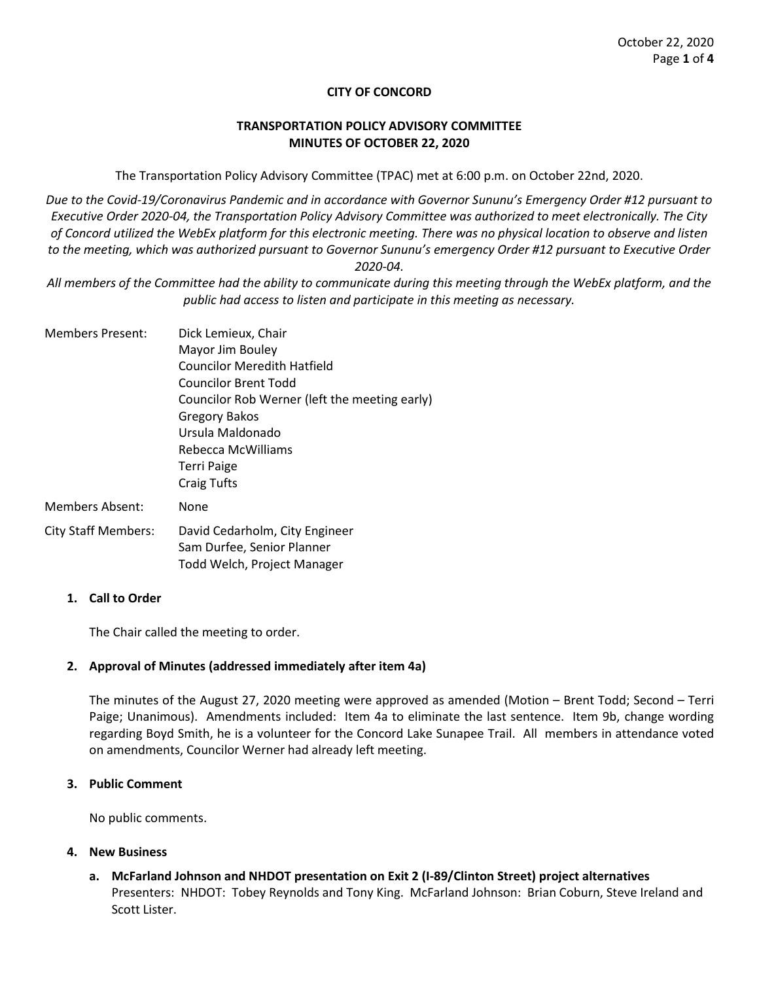### **CITY OF CONCORD**

### **TRANSPORTATION POLICY ADVISORY COMMITTEE MINUTES OF OCTOBER 22, 2020**

The Transportation Policy Advisory Committee (TPAC) met at 6:00 p.m. on October 22nd, 2020.

*Due to the Covid-19/Coronavirus Pandemic and in accordance with Governor Sununu's Emergency Order #12 pursuant to Executive Order 2020-04, the Transportation Policy Advisory Committee was authorized to meet electronically. The City of Concord utilized the WebEx platform for this electronic meeting. There was no physical location to observe and listen to the meeting, which was authorized pursuant to Governor Sununu's emergency Order #12 pursuant to Executive Order 2020-04.*

*All members of the Committee had the ability to communicate during this meeting through the WebEx platform, and the public had access to listen and participate in this meeting as necessary.* 

Members Present: Dick Lemieux, Chair Mayor Jim Bouley Councilor Meredith Hatfield Councilor Brent Todd Councilor Rob Werner (left the meeting early) Gregory Bakos Ursula Maldonado Rebecca McWilliams Terri Paige Craig Tufts Members Absent: None City Staff Members: David Cedarholm, City Engineer

Sam Durfee, Senior Planner Todd Welch, Project Manager

**1. Call to Order**

The Chair called the meeting to order.

#### **2. Approval of Minutes (addressed immediately after item 4a)**

The minutes of the August 27, 2020 meeting were approved as amended (Motion – Brent Todd; Second – Terri Paige; Unanimous). Amendments included: Item 4a to eliminate the last sentence. Item 9b, change wording regarding Boyd Smith, he is a volunteer for the Concord Lake Sunapee Trail. All members in attendance voted on amendments, Councilor Werner had already left meeting.

### **3. Public Comment**

No public comments.

#### **4. New Business**

**a. McFarland Johnson and NHDOT presentation on Exit 2 (I-89/Clinton Street) project alternatives** Presenters: NHDOT: Tobey Reynolds and Tony King. McFarland Johnson: Brian Coburn, Steve Ireland and Scott Lister.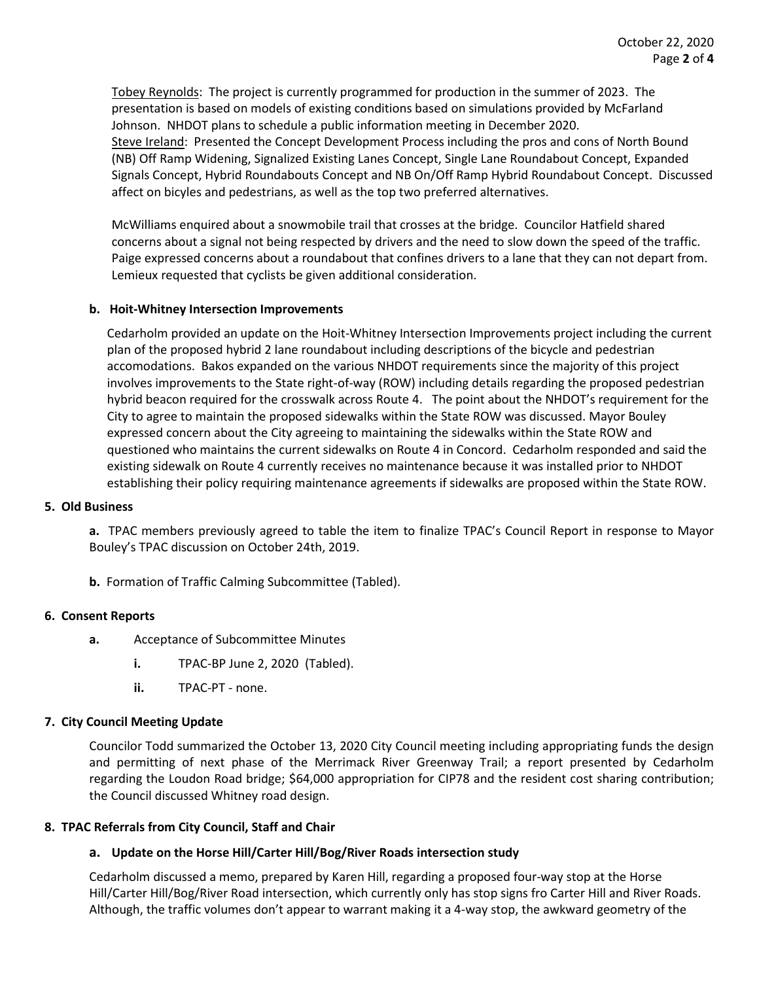Tobey Reynolds: The project is currently programmed for production in the summer of 2023. The presentation is based on models of existing conditions based on simulations provided by McFarland Johnson. NHDOT plans to schedule a public information meeting in December 2020. Steve Ireland: Presented the Concept Development Process including the pros and cons of North Bound (NB) Off Ramp Widening, Signalized Existing Lanes Concept, Single Lane Roundabout Concept, Expanded Signals Concept, Hybrid Roundabouts Concept and NB On/Off Ramp Hybrid Roundabout Concept. Discussed affect on bicyles and pedestrians, as well as the top two preferred alternatives.

McWilliams enquired about a snowmobile trail that crosses at the bridge. Councilor Hatfield shared concerns about a signal not being respected by drivers and the need to slow down the speed of the traffic. Paige expressed concerns about a roundabout that confines drivers to a lane that they can not depart from. Lemieux requested that cyclists be given additional consideration.

# **b. Hoit-Whitney Intersection Improvements**

Cedarholm provided an update on the Hoit-Whitney Intersection Improvements project including the current plan of the proposed hybrid 2 lane roundabout including descriptions of the bicycle and pedestrian accomodations. Bakos expanded on the various NHDOT requirements since the majority of this project involves improvements to the State right-of-way (ROW) including details regarding the proposed pedestrian hybrid beacon required for the crosswalk across Route 4. The point about the NHDOT's requirement for the City to agree to maintain the proposed sidewalks within the State ROW was discussed. Mayor Bouley expressed concern about the City agreeing to maintaining the sidewalks within the State ROW and questioned who maintains the current sidewalks on Route 4 in Concord. Cedarholm responded and said the existing sidewalk on Route 4 currently receives no maintenance because it was installed prior to NHDOT establishing their policy requiring maintenance agreements if sidewalks are proposed within the State ROW.

#### **5. Old Business**

**a.** TPAC members previously agreed to table the item to finalize TPAC's Council Report in response to Mayor Bouley's TPAC discussion on October 24th, 2019.

**b.** Formation of Traffic Calming Subcommittee (Tabled).

### **6. Consent Reports**

- **a.** Acceptance of Subcommittee Minutes
	- **i.** TPAC-BP June 2, 2020 (Tabled).
	- **ii.** TPAC-PT none.

# **7. City Council Meeting Update**

Councilor Todd summarized the October 13, 2020 City Council meeting including appropriating funds the design and permitting of next phase of the Merrimack River Greenway Trail; a report presented by Cedarholm regarding the Loudon Road bridge; \$64,000 appropriation for CIP78 and the resident cost sharing contribution; the Council discussed Whitney road design.

#### **8. TPAC Referrals from City Council, Staff and Chair**

# **a. Update on the Horse Hill/Carter Hill/Bog/River Roads intersection study**

Cedarholm discussed a memo, prepared by Karen Hill, regarding a proposed four-way stop at the Horse Hill/Carter Hill/Bog/River Road intersection, which currently only has stop signs fro Carter Hill and River Roads. Although, the traffic volumes don't appear to warrant making it a 4-way stop, the awkward geometry of the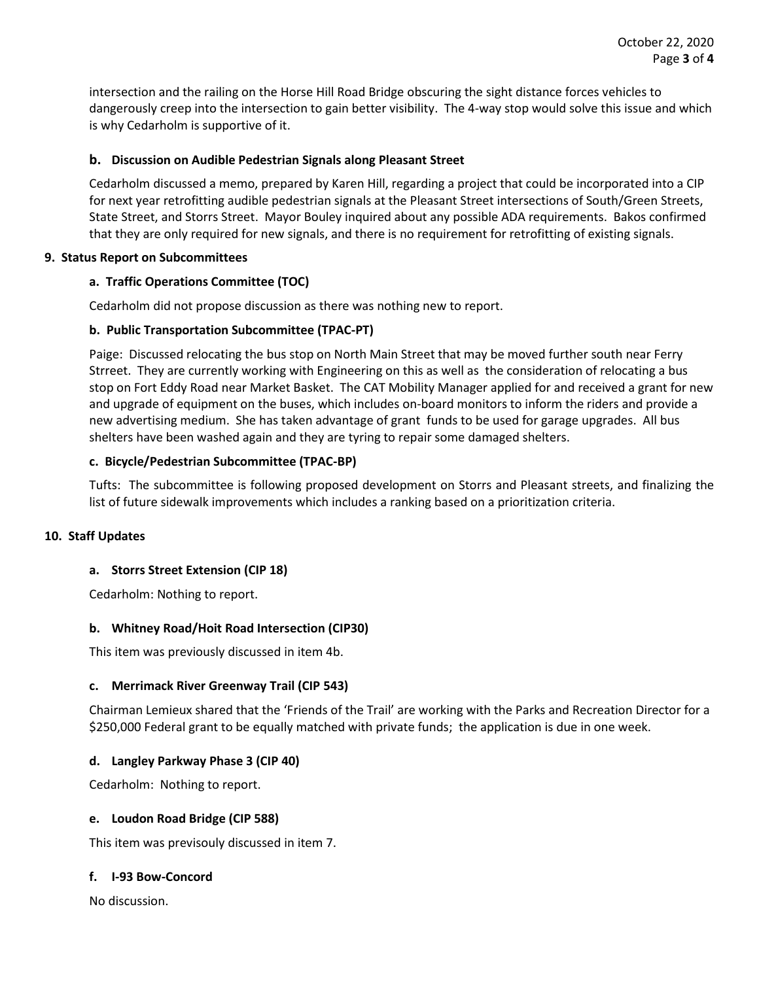intersection and the railing on the Horse Hill Road Bridge obscuring the sight distance forces vehicles to dangerously creep into the intersection to gain better visibility. The 4-way stop would solve this issue and which is why Cedarholm is supportive of it.

# **b. Discussion on Audible Pedestrian Signals along Pleasant Street**

Cedarholm discussed a memo, prepared by Karen Hill, regarding a project that could be incorporated into a CIP for next year retrofitting audible pedestrian signals at the Pleasant Street intersections of South/Green Streets, State Street, and Storrs Street. Mayor Bouley inquired about any possible ADA requirements. Bakos confirmed that they are only required for new signals, and there is no requirement for retrofitting of existing signals.

### **9. Status Report on Subcommittees**

# **a. Traffic Operations Committee (TOC)**

Cedarholm did not propose discussion as there was nothing new to report.

# **b. Public Transportation Subcommittee (TPAC-PT)**

Paige: Discussed relocating the bus stop on North Main Street that may be moved further south near Ferry Strreet. They are currently working with Engineering on this as well as the consideration of relocating a bus stop on Fort Eddy Road near Market Basket. The CAT Mobility Manager applied for and received a grant for new and upgrade of equipment on the buses, which includes on-board monitors to inform the riders and provide a new advertising medium. She has taken advantage of grant funds to be used for garage upgrades. All bus shelters have been washed again and they are tyring to repair some damaged shelters.

### **c. Bicycle/Pedestrian Subcommittee (TPAC-BP)**

Tufts: The subcommittee is following proposed development on Storrs and Pleasant streets, and finalizing the list of future sidewalk improvements which includes a ranking based on a prioritization criteria.

#### **10. Staff Updates**

# **a. Storrs Street Extension (CIP 18)**

Cedarholm: Nothing to report.

# **b. Whitney Road/Hoit Road Intersection (CIP30)**

This item was previously discussed in item 4b.

#### **c. Merrimack River Greenway Trail (CIP 543)**

Chairman Lemieux shared that the 'Friends of the Trail' are working with the Parks and Recreation Director for a \$250,000 Federal grant to be equally matched with private funds; the application is due in one week.

#### **d. Langley Parkway Phase 3 (CIP 40)**

Cedarholm: Nothing to report.

#### **e. Loudon Road Bridge (CIP 588)**

This item was previsouly discussed in item 7.

#### **f. I-93 Bow-Concord**

No discussion.